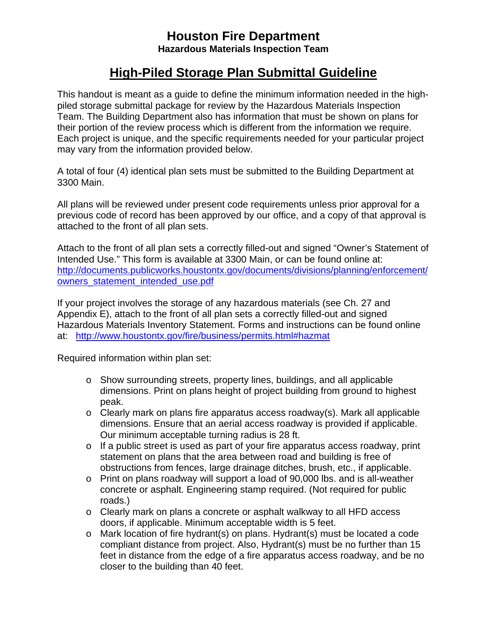## **Houston Fire Department Hazardous Materials Inspection Team**

## **High-Piled Storage Plan Submittal Guideline**

This handout is meant as a guide to define the minimum information needed in the highpiled storage submittal package for review by the Hazardous Materials Inspection Team. The Building Department also has information that must be shown on plans for their portion of the review process which is different from the information we require. Each project is unique, and the specific requirements needed for your particular project may vary from the information provided below.

A total of four (4) identical plan sets must be submitted to the Building Department at 3300 Main.

All plans will be reviewed under present code requirements unless prior approval for a previous code of record has been approved by our office, and a copy of that approval is attached to the front of all plan sets.

Attach to the front of all plan sets a correctly filled-out and signed "Owner's Statement of Intended Use." This form is available at 3300 Main, or can be found online at: http://documents.publicworks.houstontx.gov/documents/divisions/planning/enforcement/ owners\_statement\_intended\_use.pdf

If your project involves the storage of any hazardous materials (see Ch. 27 and Appendix E), attach to the front of all plan sets a correctly filled-out and signed Hazardous Materials Inventory Statement. Forms and instructions can be found online at: http://www.houstontx.gov/fire/business/permits.html#hazmat

Required information within plan set:

- o Show surrounding streets, property lines, buildings, and all applicable dimensions. Print on plans height of project building from ground to highest peak.
- $\circ$  Clearly mark on plans fire apparatus access roadway(s). Mark all applicable dimensions. Ensure that an aerial access roadway is provided if applicable. Our minimum acceptable turning radius is 28 ft.
- o If a public street is used as part of your fire apparatus access roadway, print statement on plans that the area between road and building is free of obstructions from fences, large drainage ditches, brush, etc., if applicable.
- o Print on plans roadway will support a load of 90,000 lbs. and is all-weather concrete or asphalt. Engineering stamp required. (Not required for public roads.)
- o Clearly mark on plans a concrete or asphalt walkway to all HFD access doors, if applicable. Minimum acceptable width is 5 feet.
- o Mark location of fire hydrant(s) on plans. Hydrant(s) must be located a code compliant distance from project. Also, Hydrant(s) must be no further than 15 feet in distance from the edge of a fire apparatus access roadway, and be no closer to the building than 40 feet.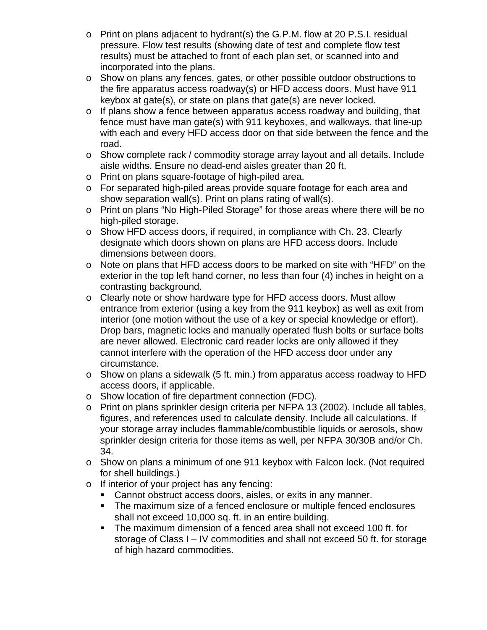- $\circ$  Print on plans adjacent to hydrant(s) the G.P.M. flow at 20 P.S.I. residual pressure. Flow test results (showing date of test and complete flow test results) must be attached to front of each plan set, or scanned into and incorporated into the plans.
- o Show on plans any fences, gates, or other possible outdoor obstructions to the fire apparatus access roadway(s) or HFD access doors. Must have 911 keybox at gate(s), or state on plans that gate(s) are never locked.
- $\circ$  If plans show a fence between apparatus access roadway and building, that fence must have man gate(s) with 911 keyboxes, and walkways, that line-up with each and every HFD access door on that side between the fence and the road.
- o Show complete rack / commodity storage array layout and all details. Include aisle widths. Ensure no dead-end aisles greater than 20 ft.
- o Print on plans square-footage of high-piled area.
- o For separated high-piled areas provide square footage for each area and show separation wall(s). Print on plans rating of wall(s).
- o Print on plans "No High-Piled Storage" for those areas where there will be no high-piled storage.
- o Show HFD access doors, if required, in compliance with Ch. 23. Clearly designate which doors shown on plans are HFD access doors. Include dimensions between doors.
- o Note on plans that HFD access doors to be marked on site with "HFD" on the exterior in the top left hand corner, no less than four (4) inches in height on a contrasting background.
- o Clearly note or show hardware type for HFD access doors. Must allow entrance from exterior (using a key from the 911 keybox) as well as exit from interior (one motion without the use of a key or special knowledge or effort). Drop bars, magnetic locks and manually operated flush bolts or surface bolts are never allowed. Electronic card reader locks are only allowed if they cannot interfere with the operation of the HFD access door under any circumstance.
- $\circ$  Show on plans a sidewalk (5 ft. min.) from apparatus access roadway to HFD access doors, if applicable.
- o Show location of fire department connection (FDC).
- o Print on plans sprinkler design criteria per NFPA 13 (2002). Include all tables, figures, and references used to calculate density. Include all calculations. If your storage array includes flammable/combustible liquids or aerosols, show sprinkler design criteria for those items as well, per NFPA 30/30B and/or Ch. 34.
- $\circ$  Show on plans a minimum of one 911 keybox with Falcon lock. (Not required for shell buildings.)
- o If interior of your project has any fencing:
	- **Cannot obstruct access doors, aisles, or exits in any manner.**
	- The maximum size of a fenced enclosure or multiple fenced enclosures shall not exceed 10,000 sq. ft. in an entire building.
	- The maximum dimension of a fenced area shall not exceed 100 ft. for storage of Class I – IV commodities and shall not exceed 50 ft. for storage of high hazard commodities.